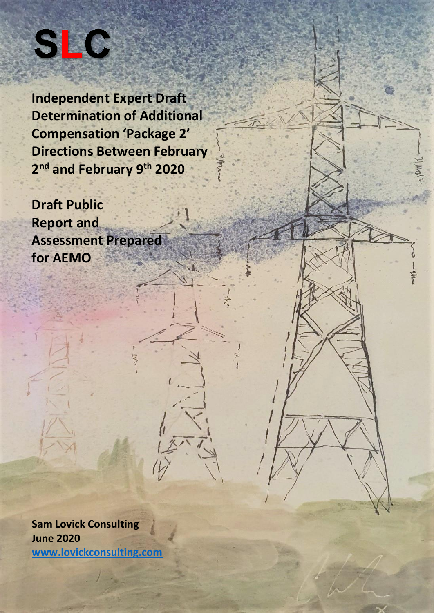

**Independent Expert Draft Determination of Additional Compensation 'Package 2' Directions Between February 2 nd and February 9 th 2020**

**Draft Public Report and Assessment Prepared for AEMO**

**Sam Lovick Consulting June 2020 [www.lovickconsulting.com](http://www.lovickconsulting.com/)**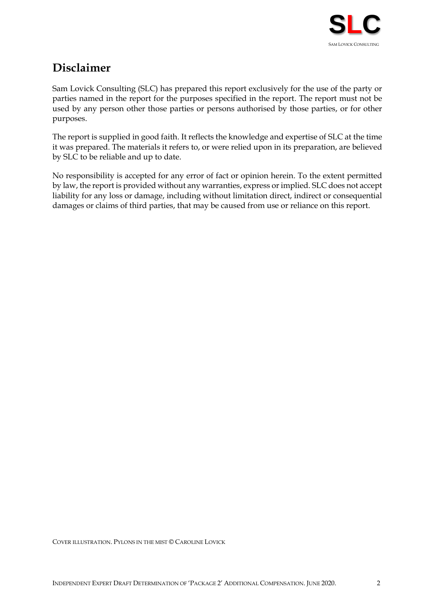

# **Disclaimer**

Sam Lovick Consulting (SLC) has prepared this report exclusively for the use of the party or parties named in the report for the purposes specified in the report. The report must not be used by any person other those parties or persons authorised by those parties, or for other purposes.

The report is supplied in good faith. It reflects the knowledge and expertise of SLC at the time it was prepared. The materials it refers to, or were relied upon in its preparation, are believed by SLC to be reliable and up to date.

No responsibility is accepted for any error of fact or opinion herein. To the extent permitted by law, the report is provided without any warranties, express or implied. SLC does not accept liability for any loss or damage, including without limitation direct, indirect or consequential damages or claims of third parties, that may be caused from use or reliance on this report.

COVER ILLUSTRATION. PYLONS IN THE MIST © CAROLINE LOVICK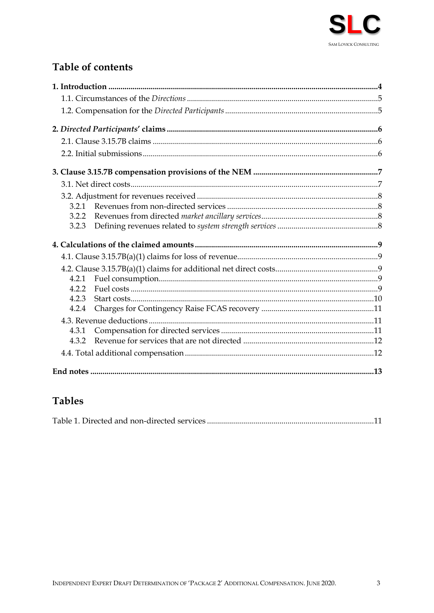

# **Table of contents**

| 3.2.2 |  |
|-------|--|
| 3.2.3 |  |
|       |  |
|       |  |
|       |  |
| 4.2.1 |  |
| 4.2.2 |  |
| 4.2.3 |  |
| 4.2.4 |  |
|       |  |
| 4.3.1 |  |
|       |  |
|       |  |
|       |  |

# **Tables**

|--|--|--|--|--|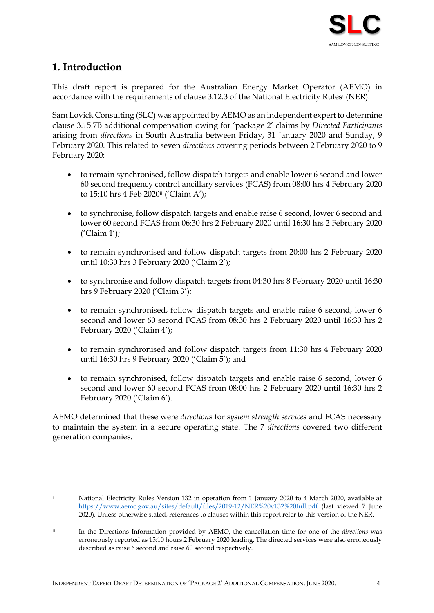

# <span id="page-3-0"></span>**1. Introduction**

This draft report is prepared for the Australian Energy Market Operator (AEMO) in accordance with the requirements of clause 3.12.3 of the National Electricity Rules<sup>i</sup> (NER).

Sam Lovick Consulting (SLC) was appointed by AEMO as an independent expert to determine clause 3.15.7B additional compensation owing for 'package 2' claims by *Directed Participants* arising from *directions* in South Australia between Friday, 31 January 2020 and Sunday, 9 February 2020. This related to seven *directions* covering periods between 2 February 2020 to 9 February 2020:

- to remain synchronised, follow dispatch targets and enable lower 6 second and lower 60 second frequency control ancillary services (FCAS) from 08:00 hrs 4 February 2020 to 15:10 hrs 4 Feb 2020ii ('Claim A');
- to synchronise, follow dispatch targets and enable raise 6 second, lower 6 second and lower 60 second FCAS from 06:30 hrs 2 February 2020 until 16:30 hrs 2 February 2020 ('Claim 1');
- to remain synchronised and follow dispatch targets from 20:00 hrs 2 February 2020 until 10:30 hrs 3 February 2020 ('Claim 2');
- to synchronise and follow dispatch targets from 04:30 hrs 8 February 2020 until 16:30 hrs 9 February 2020 ('Claim 3');
- to remain synchronised, follow dispatch targets and enable raise 6 second, lower 6 second and lower 60 second FCAS from 08:30 hrs 2 February 2020 until 16:30 hrs 2 February 2020 ('Claim 4');
- to remain synchronised and follow dispatch targets from 11:30 hrs 4 February 2020 until 16:30 hrs 9 February 2020 ('Claim 5'); and
- to remain synchronised, follow dispatch targets and enable raise 6 second, lower 6 second and lower 60 second FCAS from 08:00 hrs 2 February 2020 until 16:30 hrs 2 February 2020 ('Claim 6').

AEMO determined that these were *directions* for *system strength services* and FCAS necessary to maintain the system in a secure operating state. The 7 *directions* covered two different generation companies.

National Electricity Rules Version 132 in operation from 1 January 2020 to 4 March 2020, available at <https://www.aemc.gov.au/sites/default/files/2019-12/NER%20v132%20full.pdf> (last viewed 7 June 2020). Unless otherwise stated, references to clauses within this report refer to this version of the NER.

ii In the Directions Information provided by AEMO, the cancellation time for one of the *directions* was erroneously reported as 15:10 hours 2 February 2020 leading. The directed services were also erroneously described as raise 6 second and raise 60 second respectively.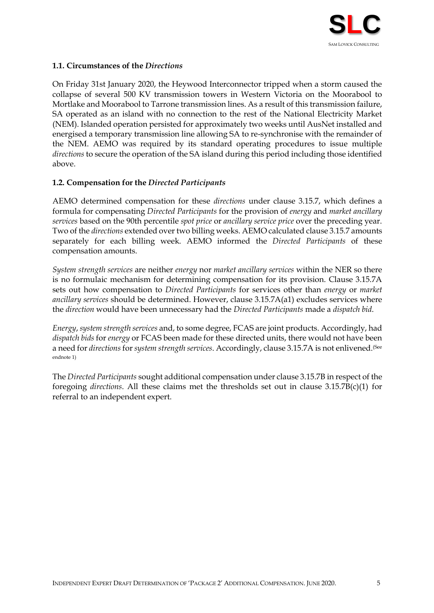

### <span id="page-4-0"></span>**1.1. Circumstances of the** *Directions*

On Friday 31st January 2020, the Heywood Interconnector tripped when a storm caused the collapse of several 500 KV transmission towers in Western Victoria on the Moorabool to Mortlake and Moorabool to Tarrone transmission lines. As a result of this transmission failure, SA operated as an island with no connection to the rest of the National Electricity Market (NEM). Islanded operation persisted for approximately two weeks until AusNet installed and energised a temporary transmission line allowing SA to re-synchronise with the remainder of the NEM. AEMO was required by its standard operating procedures to issue multiple *directions* to secure the operation of the SA island during this period including those identified above.

#### <span id="page-4-1"></span>**1.2. Compensation for the** *Directed Participants*

AEMO determined compensation for these *directions* under clause 3.15.7, which defines a formula for compensating *Directed Participants* for the provision of *energy* and *market ancillary services* based on the 90th percentile *spot price* or *ancillary service price* over the preceding year. Two of the *directions* extended over two billing weeks. AEMO calculated clause 3.15.7 amounts separately for each billing week. AEMO informed the *Directed Participants* of these compensation amounts.

*System strength services* are neither *energy* nor *market ancillary services* within the NER so there is no formulaic mechanism for determining compensation for its provision. Clause 3.15.7A sets out how compensation to *Directed Participants* for services other than *energy* or *market ancillary services* should be determined. However, clause 3.15.7A(a1) excludes services where the *direction* would have been unnecessary had the *Directed Participants* made a *dispatch bid*.

*Energy*, *system strength services* and, to some degree, FCAS are joint products. Accordingly, had *dispatch bids* for *energy* or FCAS been made for these directed units, there would not have been a need for *directions* for *system strength services*. Accordingly, clause 3.15.7A is not enlivened.<sup>(See</sup> endnote 1)

The *Directed Participants* sought additional compensation under clause 3.15.7B in respect of the foregoing *directions*. All these claims met the thresholds set out in clause 3.15.7B(c)(1) for referral to an independent expert.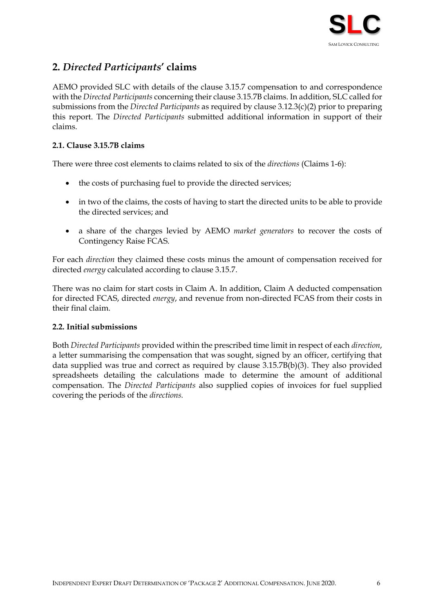

# <span id="page-5-0"></span>**2.** *Directed Participants***' claims**

AEMO provided SLC with details of the clause 3.15.7 compensation to and correspondence with the *Directed Participants* concerning their clause 3.15.7B claims. In addition, SLC called for submissions from the *Directed Participants* as required by clause 3.12.3(c)(2) prior to preparing this report. The *Directed Participants* submitted additional information in support of their claims.

### <span id="page-5-1"></span>**2.1. Clause 3.15.7B claims**

There were three cost elements to claims related to six of the *directions* (Claims 1-6):

- the costs of purchasing fuel to provide the directed services;
- in two of the claims, the costs of having to start the directed units to be able to provide the directed services; and
- a share of the charges levied by AEMO *market generators* to recover the costs of Contingency Raise FCAS.

For each *direction* they claimed these costs minus the amount of compensation received for directed *energy* calculated according to clause 3.15.7.

There was no claim for start costs in Claim A. In addition, Claim A deducted compensation for directed FCAS, directed *energy*, and revenue from non-directed FCAS from their costs in their final claim.

#### <span id="page-5-2"></span>**2.2. Initial submissions**

Both *Directed Participants* provided within the prescribed time limit in respect of each *direction*, a letter summarising the compensation that was sought, signed by an officer, certifying that data supplied was true and correct as required by clause 3.15.7B(b)(3). They also provided spreadsheets detailing the calculations made to determine the amount of additional compensation. The *Directed Participants* also supplied copies of invoices for fuel supplied covering the periods of the *directions.*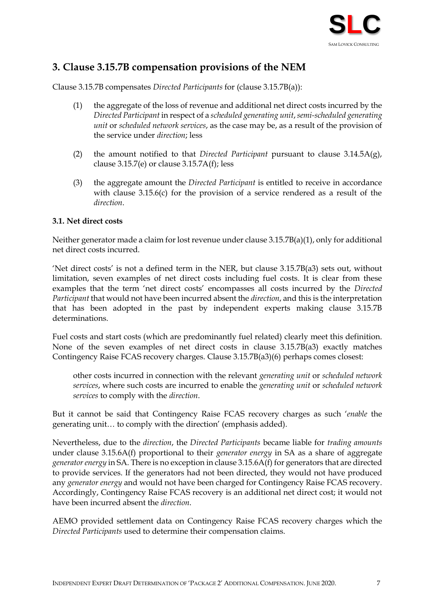

# <span id="page-6-0"></span>**3. Clause 3.15.7B compensation provisions of the NEM**

Clause 3.15.7B compensates *Directed Participants* for (clause 3.15.7B(a)):

- (1) the aggregate of the loss of revenue and additional net direct costs incurred by the *Directed Participant* in respect of a *scheduled generating unit*, *semi-scheduled generating unit* or *scheduled network services*, as the case may be, as a result of the provision of the service under *direction*; less
- (2) the amount notified to that *Directed Participant* pursuant to clause 3.14.5A(g), clause  $3.15.7$ (e) or clause  $3.15.7$ A(f); less
- (3) the aggregate amount the *Directed Participant* is entitled to receive in accordance with clause 3.15.6(c) for the provision of a service rendered as a result of the *direction*.

#### <span id="page-6-1"></span>**3.1. Net direct costs**

Neither generator made a claim for lost revenue under clause 3.15.7B(a)(1), only for additional net direct costs incurred.

'Net direct costs' is not a defined term in the NER, but clause 3.15.7B(a3) sets out, without limitation, seven examples of net direct costs including fuel costs. It is clear from these examples that the term 'net direct costs' encompasses all costs incurred by the *Directed Participant* that would not have been incurred absent the *direction*, and this is the interpretation that has been adopted in the past by independent experts making clause 3.15.7B determinations.

Fuel costs and start costs (which are predominantly fuel related) clearly meet this definition. None of the seven examples of net direct costs in clause 3.15.7B(a3) exactly matches Contingency Raise FCAS recovery charges. Clause 3.15.7B(a3)(6) perhaps comes closest:

other costs incurred in connection with the relevant *generating unit* or *scheduled network services*, where such costs are incurred to enable the *generating unit* or *scheduled network services* to comply with the *direction*.

But it cannot be said that Contingency Raise FCAS recovery charges as such '*enable* the generating unit… to comply with the direction' (emphasis added).

Nevertheless, due to the *direction*, the *Directed Participants* became liable for *trading amounts* under clause 3.15.6A(f) proportional to their *generator energy* in SA as a share of aggregate *generator energy* in SA. There is no exception in clause 3.15.6A(f) for generators that are directed to provide services. If the generators had not been directed, they would not have produced any *generator energy* and would not have been charged for Contingency Raise FCAS recovery. Accordingly, Contingency Raise FCAS recovery is an additional net direct cost; it would not have been incurred absent the *direction*.

AEMO provided settlement data on Contingency Raise FCAS recovery charges which the *Directed Participants* used to determine their compensation claims.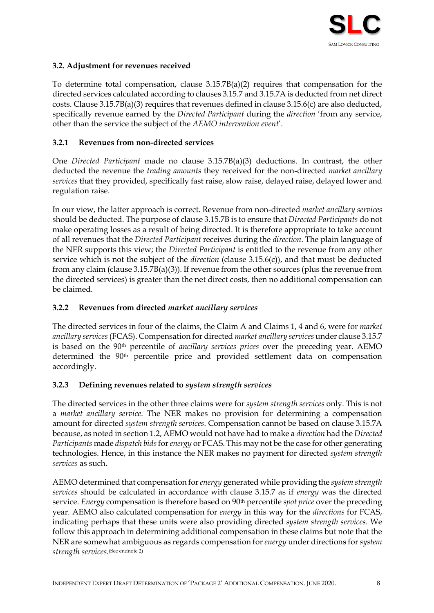

# <span id="page-7-0"></span>**3.2. Adjustment for revenues received**

To determine total compensation, clause 3.15.7B(a)(2) requires that compensation for the directed services calculated according to clauses 3.15.7 and 3.15.7A is deducted from net direct costs. Clause 3.15.7B(a)(3) requires that revenues defined in clause 3.15.6(c) are also deducted, specifically revenue earned by the *Directed Participant* during the *direction* 'from any service, other than the service the subject of the *AEMO intervention event*'.

### <span id="page-7-1"></span>**3.2.1 Revenues from non-directed services**

One *Directed Participant* made no clause 3.15.7B(a)(3) deductions. In contrast, the other deducted the revenue the *trading amounts* they received for the non-directed *market ancillary services* that they provided, specifically fast raise, slow raise, delayed raise, delayed lower and regulation raise.

In our view, the latter approach is correct. Revenue from non-directed *market ancillary services*  should be deducted. The purpose of clause 3.15.7B is to ensure that *Directed Participants* do not make operating losses as a result of being directed. It is therefore appropriate to take account of all revenues that the *Directed Participant* receives during the *direction*. The plain language of the NER supports this view; the *Directed Participant* is entitled to the revenue from any other service which is not the subject of the *direction* (clause 3.15.6(c)), and that must be deducted from any claim (clause 3.15.7B(a)(3)). If revenue from the other sources (plus the revenue from the directed services) is greater than the net direct costs, then no additional compensation can be claimed.

#### <span id="page-7-2"></span>**3.2.2 Revenues from directed** *market ancillary services*

The directed services in four of the claims, the Claim A and Claims 1, 4 and 6, were for *market ancillary services* (FCAS). Compensation for directed *market ancillary services* under clause 3.15.7 is based on the 90th percentile of *ancillary services prices* over the preceding year. AEMO determined the 90<sup>th</sup> percentile price and provided settlement data on compensation accordingly.

#### <span id="page-7-3"></span>**3.2.3 Defining revenues related to** *system strength services*

The directed services in the other three claims were for *system strength services* only. This is not a *market ancillary service*. The NER makes no provision for determining a compensation amount for directed *system strength services*. Compensation cannot be based on clause 3.15.7A because, as noted in sectio[n 1.2,](#page-4-1) AEMO would not have had to make a *direction* had the *Directed Participants* made *dispatch bids*for *energy* or FCAS. This may not be the case for other generating technologies. Hence, in this instance the NER makes no payment for directed *system strength services* as such.

AEMO determined that compensation for *energy* generated while providing the *system strength services* should be calculated in accordance with clause 3.15.7 as if *energy* was the directed service. *Energy* compensation is therefore based on 90th percentile *spot price* over the preceding year. AEMO also calculated compensation for *energy* in this way for the *directions* for FCAS, indicating perhaps that these units were also providing directed *system strength services*. We follow this approach in determining additional compensation in these claims but note that the NER are somewhat ambiguous as regards compensation for *energy* under directions for *system strength services*. (See endnote 2)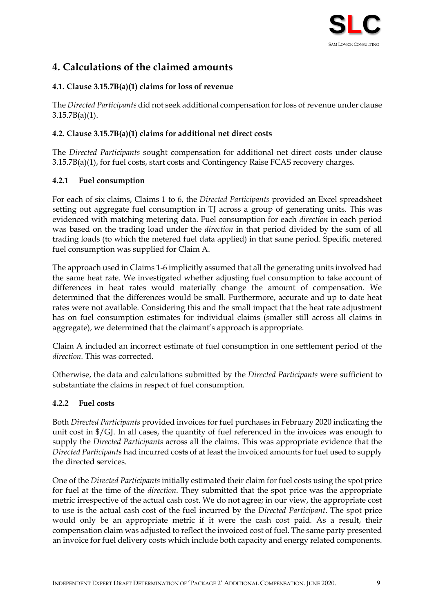

# <span id="page-8-0"></span>**4. Calculations of the claimed amounts**

# <span id="page-8-1"></span>**4.1. Clause 3.15.7B(a)(1) claims for loss of revenue**

The *Directed Participants* did not seek additional compensation for loss of revenue under clause  $3.15.7B(a)(1)$ .

# <span id="page-8-2"></span>**4.2. Clause 3.15.7B(a)(1) claims for additional net direct costs**

The *Directed Participants* sought compensation for additional net direct costs under clause 3.15.7B(a)(1), for fuel costs, start costs and Contingency Raise FCAS recovery charges.

# <span id="page-8-3"></span>**4.2.1 Fuel consumption**

For each of six claims, Claims 1 to 6, the *Directed Participants* provided an Excel spreadsheet setting out aggregate fuel consumption in TJ across a group of generating units. This was evidenced with matching metering data. Fuel consumption for each *direction* in each period was based on the trading load under the *direction* in that period divided by the sum of all trading loads (to which the metered fuel data applied) in that same period. Specific metered fuel consumption was supplied for Claim A.

The approach used in Claims 1-6 implicitly assumed that all the generating units involved had the same heat rate. We investigated whether adjusting fuel consumption to take account of differences in heat rates would materially change the amount of compensation. We determined that the differences would be small. Furthermore, accurate and up to date heat rates were not available. Considering this and the small impact that the heat rate adjustment has on fuel consumption estimates for individual claims (smaller still across all claims in aggregate), we determined that the claimant's approach is appropriate.

Claim A included an incorrect estimate of fuel consumption in one settlement period of the *direction.* This was corrected.

Otherwise, the data and calculations submitted by the *Directed Participants* were sufficient to substantiate the claims in respect of fuel consumption.

# <span id="page-8-4"></span>**4.2.2 Fuel costs**

Both *Directed Participants* provided invoices for fuel purchases in February 2020 indicating the unit cost in \$/GJ. In all cases, the quantity of fuel referenced in the invoices was enough to supply the *Directed Participants* across all the claims. This was appropriate evidence that the *Directed Participants* had incurred costs of at least the invoiced amounts for fuel used to supply the directed services.

One of the *Directed Participants* initially estimated their claim for fuel costs using the spot price for fuel at the time of the *direction*. They submitted that the spot price was the appropriate metric irrespective of the actual cash cost. We do not agree; in our view, the appropriate cost to use is the actual cash cost of the fuel incurred by the *Directed Participant*. The spot price would only be an appropriate metric if it were the cash cost paid*.* As a result, their compensation claim was adjusted to reflect the invoiced cost of fuel. The same party presented an invoice for fuel delivery costs which include both capacity and energy related components.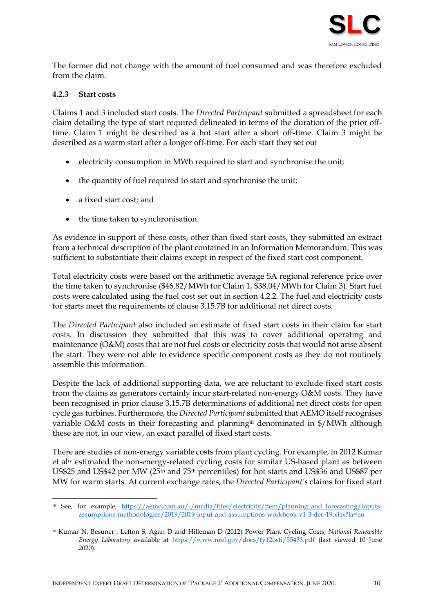

The former did not change with the amount of fuel consumed and was therefore excluded from the claim.

#### <span id="page-9-0"></span>**4.2.3 Start costs**

Claims 1 and 3 included start costs. The *Directed Participant* submitted a spreadsheet for each claim detailing the type of start required delineated in terms of the duration of the prior offtime. Claim 1 might be described as a hot start after a short off-time. Claim 3 might be described as a warm start after a longer off-time. For each start they set out

- electricity consumption in MWh required to start and synchronise the unit;
- the quantity of fuel required to start and synchronise the unit;
- a fixed start cost; and
- the time taken to synchronisation.

As evidence in support of these costs, other than fixed start costs, they submitted an extract from a technical description of the plant contained in an Information Memorandum. This was sufficient to substantiate their claims except in respect of the fixed start cost component.

Total electricity costs were based on the arithmetic average SA regional reference price over the time taken to synchronise (\$46.82/MWh for Claim 1, \$38.04/MWh for Claim 3). Start fuel costs were calculated using the fuel cost set out in section [4.2.2.](#page-8-4) The fuel and electricity costs for starts meet the requirements of clause 3.15.7B for additional net direct costs.

The *Directed Participant* also included an estimate of fixed start costs in their claim for start costs. In discussion they submitted that this was to cover additional operating and maintenance (O&M) costs that are not fuel costs or electricity costs that would not arise absent the start. They were not able to evidence specific component costs as they do not routinely assemble this information.

Despite the lack of additional supporting data, we are reluctant to exclude fixed start costs from the claims as generators certainly incur start-related non-energy O&M costs. They have been recognised in prior clause 3.15.7B determinations of additional net direct costs for open cycle gas turbines. Furthermore, the *Directed Participant* submitted that AEMO itself recognises variable O&M costs in their forecasting and planningiii denominated in \$/MWh although these are not, in our view, an exact parallel of fixed start costs.

There are studies of non-energy variable costs from plant cycling. For example, in 2012 Kumar et aliv estimated the non-energy-related cycling costs for similar US-based plant as between US\$25 and US\$42 per MW (25th and 75th percentiles) for hot starts and US\$36 and US\$87 per MW for warm starts. At current exchange rates, the *Directed Participant's* claims for fixed start

iii See, for example, [https://aemo.com.au/-/media/files/electricity/nem/planning\\_and\\_forecasting/inputs](https://aemo.com.au/-/media/files/electricity/nem/planning_and_forecasting/inputs-assumptions-methodologies/2019/2019-input-and-assumptions-workbook-v1-3-dec-19.xlsx?la=en)[assumptions-methodologies/2019/2019-input-and-assumptions-workbook-v1-3-dec-19.xlsx?la=en](https://aemo.com.au/-/media/files/electricity/nem/planning_and_forecasting/inputs-assumptions-methodologies/2019/2019-input-and-assumptions-workbook-v1-3-dec-19.xlsx?la=en)

iv Kumar N, Besuner , Lefton S, Agan D and Hilleman D (2012) Power Plant Cycling Costs, *National Renewable Energy Laboratory* available at <https://www.nrel.gov/docs/fy12osti/55433.pdf> (last viewed 10 June 2020).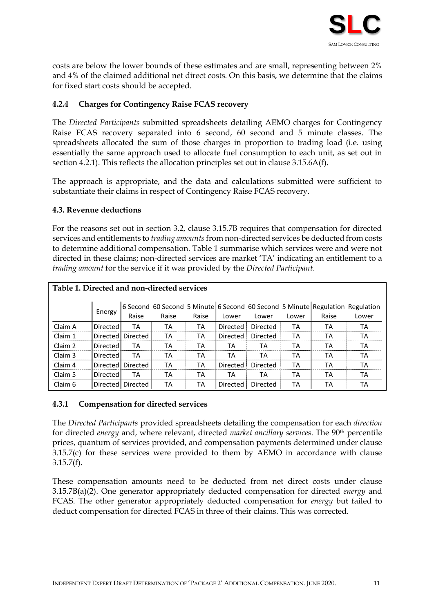

costs are below the lower bounds of these estimates and are small, representing between 2% and 4% of the claimed additional net direct costs. On this basis, we determine that the claims for fixed start costs should be accepted.

### <span id="page-10-0"></span>**4.2.4 Charges for Contingency Raise FCAS recovery**

The *Directed Participants* submitted spreadsheets detailing AEMO charges for Contingency Raise FCAS recovery separated into 6 second, 60 second and 5 minute classes. The spreadsheets allocated the sum of those charges in proportion to trading load (i.e. using essentially the same approach used to allocate fuel consumption to each unit, as set out in section [4.2.1\)](#page-8-3). This reflects the allocation principles set out in clause 3.15.6A(f).

The approach is appropriate, and the data and calculations submitted were sufficient to substantiate their claims in respect of Contingency Raise FCAS recovery.

#### <span id="page-10-1"></span>**4.3. Revenue deductions**

For the reasons set out in section [3.2,](#page-7-0) clause 3.15.7B requires that compensation for directed services and entitlements to *trading amounts*from non-directed services be deducted from costs to determine additional compensation. [Table 1](#page-10-3) summarise which services were and were not directed in these claims; non-directed services are market 'TA' indicating an entitlement to a *trading amount* for the service if it was provided by the *Directed Participant*.

<span id="page-10-3"></span>

| Table 1. Directed and non-directed services |                   |                   |       |       |                 |          |       |                                                                                        |       |  |  |
|---------------------------------------------|-------------------|-------------------|-------|-------|-----------------|----------|-------|----------------------------------------------------------------------------------------|-------|--|--|
|                                             | Energy            | Raise             | Raise | Raise | Lower           | Lower    | Lower | 6 Second 60 Second 5 Minute 6 Second 60 Second 5 Minute Regulation Regulation<br>Raise | Lower |  |  |
| Claim A                                     | <b>Directed</b>   | TA                | ТA    | ТA    | Directed        | Directed | ТA    | ТA                                                                                     | ТA    |  |  |
| Claim 1                                     |                   | Directed Directed | ТA    | TA    | <b>Directed</b> | Directed | ТA    | ТA                                                                                     | ТA    |  |  |
| Claim 2                                     | <b>Directed</b>   | TA                | ТA    | ТA    | TA              | ТA       | TA    | ТA                                                                                     | ТA    |  |  |
| Claim 3                                     | Directed <b>I</b> | TА                | TА    | ТA    | ТA              | ТA       | ТA    | ТA                                                                                     | ТA    |  |  |
| Claim 4                                     |                   | Directed Directed | ТA    | TA    | Directed        | Directed | ТA    | ТA                                                                                     | ТA    |  |  |
| Claim 5                                     | Directed <b>I</b> | ТA                | ТA    | ТA    | TA              | ТA       | ТA    | ТA                                                                                     | ТA    |  |  |
| Claim 6                                     |                   | Directed Directed | ТA    | ТA    | <b>Directed</b> | Directed | ТA    | ТA                                                                                     | ТA    |  |  |

#### <span id="page-10-2"></span>**4.3.1 Compensation for directed services**

The *Directed Participants* provided spreadsheets detailing the compensation for each *direction* for directed *energy* and, where relevant, directed *market ancillary services*. The 90th percentile prices, quantum of services provided, and compensation payments determined under clause 3.15.7(c) for these services were provided to them by AEMO in accordance with clause  $3.15.7(f)$ .

These compensation amounts need to be deducted from net direct costs under clause 3.15.7B(a)(2). One generator appropriately deducted compensation for directed *energy* and FCAS. The other generator appropriately deducted compensation for *energy* but failed to deduct compensation for directed FCAS in three of their claims. This was corrected.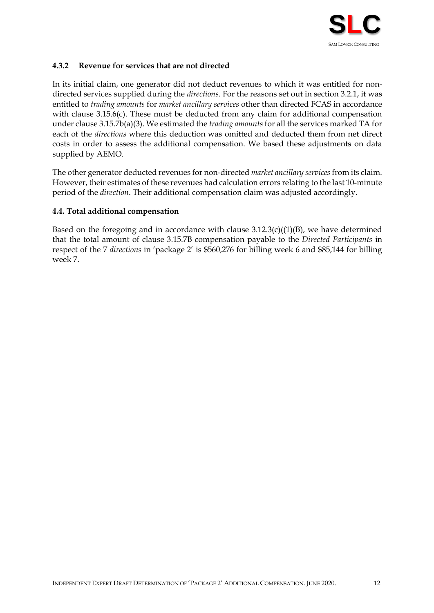

### <span id="page-11-0"></span>**4.3.2 Revenue for services that are not directed**

In its initial claim, one generator did not deduct revenues to which it was entitled for nondirected services supplied during the *directions*. For the reasons set out in section [3.2.1,](#page-7-1) it was entitled to *trading amounts* for *market ancillary services* other than directed FCAS in accordance with clause 3.15.6(c). These must be deducted from any claim for additional compensation under clause 3.15.7b(a)(3). We estimated the *trading amounts* for all the services marked TA for each of the *directions* where this deduction was omitted and deducted them from net direct costs in order to assess the additional compensation. We based these adjustments on data supplied by AEMO.

The other generator deducted revenues for non-directed *market ancillary services* from its claim. However, their estimates of these revenues had calculation errors relating to the last 10-minute period of the *direction*. Their additional compensation claim was adjusted accordingly.

#### <span id="page-11-1"></span>**4.4. Total additional compensation**

Based on the foregoing and in accordance with clause  $3.12.3(c)((1)(B))$ , we have determined that the total amount of clause 3.15.7B compensation payable to the *Directed Participants* in respect of the 7 *directions* in 'package 2' is \$560,276 for billing week 6 and \$85,144 for billing week 7.